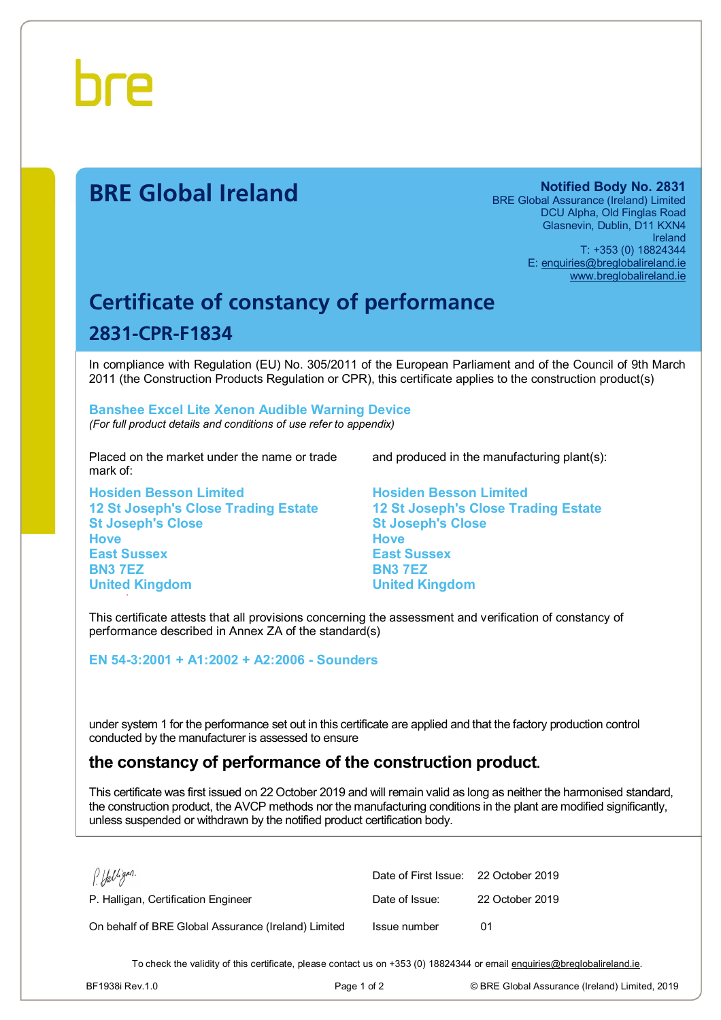

# **BRE Global Ireland Notified Body No. 2831**

BRE Global Assurance (Ireland) Limited DCU Alpha, Old Finglas Road Glasnevin, Dublin, D11 KXN4 Ireland T: +353 (0) 18824344 E: [enquiries@breglobalireland.ie](mailto:enquiries@breglobalireland.ie)  [www.breglobalireland.ie](http://www.breglobalireland.ie)

# **Certificate of constancy of performance 2831-CPR-F1834**

In compliance with Regulation (EU) No. 305/2011 of the European Parliament and of the Council of 9th March 2011 (the Construction Products Regulation or CPR), this certificate applies to the construction product(s)

### **Banshee Excel Lite Xenon Audible Warning Device**  *(For full product details and conditions of use refer to appendix)*

Placed on the market under the name or trade mark of:

**Hosiden Besson Limited 12 St Joseph's Close Trading Estate St Joseph's Close Hove East Sussex BN3 7EZ United Kingdom** 

and produced in the manufacturing plant(s):

**Hosiden Besson Limited 12 St Joseph's Close Trading Estate St Joseph's Close Hove East Sussex BN3 7EZ United Kingdom** 

This certificate attests that all provisions concerning the assessment and verification of constancy of performance described in Annex ZA of the standard(s)

**EN 54-3:2001 + A1:2002 + A2:2006 - Sounders** 

under system 1 for the performance set out in this certificate are applied and that the factory production control conducted by the manufacturer is assessed to ensure

# **the constancy of performance of the construction product.**

This certificate was first issued on 22 October 2019 and will remain valid as long as neither the harmonised standard, the construction product, the AVCP methods nor the manufacturing conditions in the plant are modified significantly, unless suspended or withdrawn by the notified product certification body.

| PHalligan.                                          | Date of First Issue: 22 October 2019 |                 |
|-----------------------------------------------------|--------------------------------------|-----------------|
| P. Halligan, Certification Engineer                 | Date of Issue:                       | 22 October 2019 |
| On behalf of BRE Global Assurance (Ireland) Limited | Issue number                         | በ1              |

To check the validity of this certificate, please contact us on +353 (0) 18824344 or email [enquiries@breglobalireland.ie](mailto:enquiries@breglobalireland.ie).